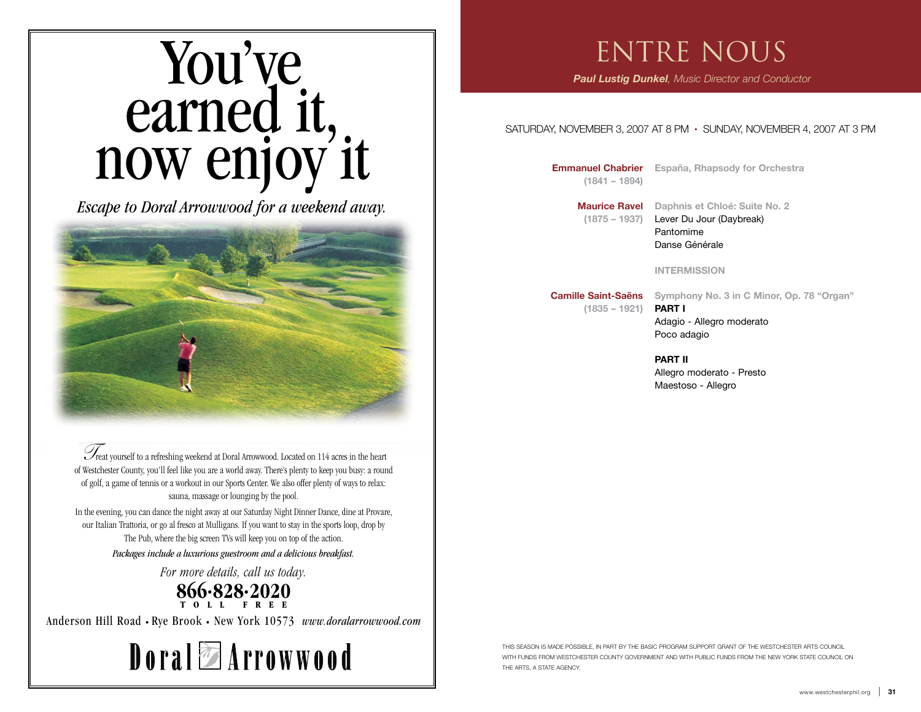# You've earned it, now enjoy it You've earned it, now enjoy it

*Escape to Doral Arrowwood for a weekend away. Escape to Doral Arrowwood for a weekend away.*



 $\mathcal{I}_{\text{post}}$  vourself to a refreshing weekend at Doral Arrowwood. Located on 114 acres in the heart Treat yourself to a refreshing weekend at Doral Arrowwood. Located on 114 acres in the heart of golf, a game of tennis or a workout in our Sports Center. We also offer plenty of ways to relax: of golf, a game of tennis or a workout in our Sports Center. We also offer plenty of ways to relax: sauna, massage or lounging by the pool. sauna, massage or lounging by the pool. of Westchester County, you'll feel like you are a world away. There's plenty to keep you busy: a round

In the evening, you can dance the night away at our Saturday Night Dinner Dance In the evening, you can dance the night away at our Saturday Night Dinner Dance, dine at Provare, our Italian Trattoria, or go al fresco at Mulligans. If you want to stay in the sports loop, drop by the big screen TVs will keep you on top of the action. The Pub, where the big screen TVs will keep you on top of the action.

*Packages include a luxurious guestroom and a delicious breakfast. Packages include a luxurious guestroom and a delicious breakfast.*

*For more details, call us today. For more details, call us today.*

# **866•828•2020 TOLL FREE 866•828•2020 TOLL FREE**

Anderson Hill Road • Rye Brook • New York 10573 *www.doralarrowwood.com* Anderson Hill Road • Rye Brook • New York 10573 *www.doralarrowwood.com*



# ENTRE NOUS

 *Paul Lustig Dunkel, Music Director and Conductor*

#### SATURDAY, NOVEMBER 3, 2007 AT 8 PM • SUNDAY, NOVEMBER 4, 2007 AT 3 PM

**(1841 – 1894)**

 **Emmanuel Chabrier España, Rhapsody for Orchestra**

**Maurice Ravel Daphnis et Chloé: Suite No. 2 (1875 – 1937)** Lever Du Jour (Daybreak) Pantomime Danse Générale

#### **INTERMISSION**

**Camille Saint-Saëns Symphony No. 3 in C Minor, Op. 78 "Organ"**

**(1835 – 1921) PART I**

Adagio - Allegro moderato Poco adagio

**PART II** Allegro moderato - Presto Maestoso - Allegro

THIS SEASON IS MADE POSSIBLE, IN PART BY THE BASIC PROGRAM SUPPORT GRANT OF THE WESTCHESTER ARTS COUNCIL WITH FUNDS FROM WESTCHESTER COUNTY GOVERNMENT AND WITH PUBLIC FUNDS FROM THE NEW YORK STATE COUNCIL ON THE ARTS, A STATE AGENCY.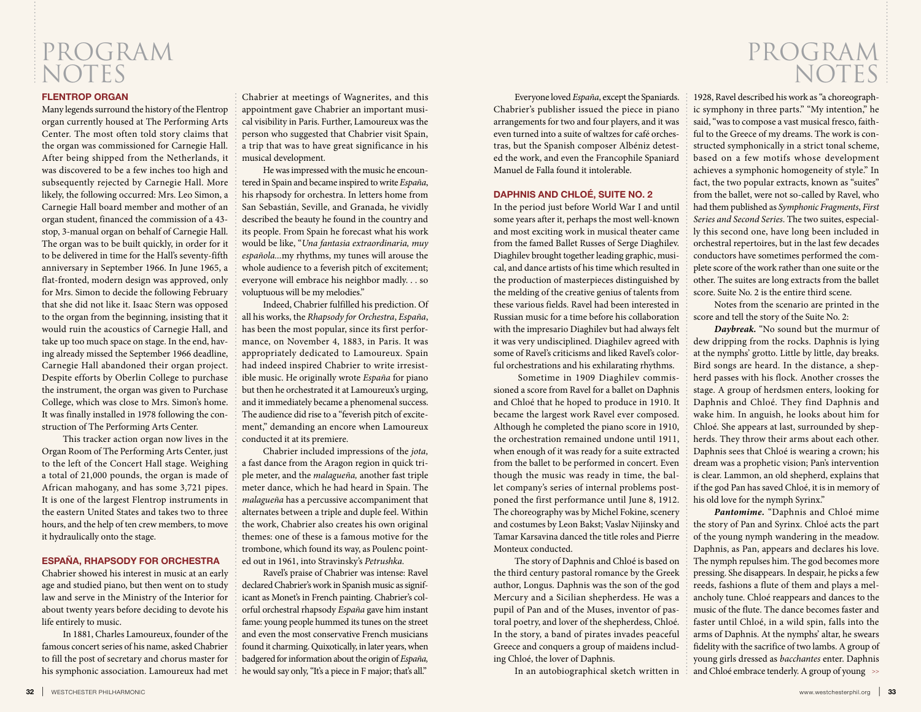## PROGRAM NOTES

#### **FLENTROP ORGAN**

Many legends surround the history of the Flentrop organ currently housed at The Performing Arts Center. The most often told story claims that the organ was commissioned for Carnegie Hall. After being shipped from the Netherlands, it was discovered to be a few inches too high and subsequently rejected by Carnegie Hall. More likely, the following occurred: Mrs. Leo Simon, a Carnegie Hall board member and mother of an organ student, financed the commission of a 43 stop, 3-manual organ on behalf of Carnegie Hall. The organ was to be built quickly, in order for it to be delivered in time for the Hall's seventy-fifth anniversary in September 1966. In June 1965, a flat-fronted, modern design was approved, only for Mrs. Simon to decide the following February that she did not like it. Isaac Stern was opposed to the organ from the beginning, insisting that it would ruin the acoustics of Carnegie Hall, and take up too much space on stage. In the end, having already missed the September 1966 deadline, Carnegie Hall abandoned their organ project. Despite efforts by Oberlin College to purchase the instrument, the organ was given to Purchase College, which was close to Mrs. Simon's home. It was finally installed in 1978 following the construction of The Performing Arts Center.

This tracker action organ now lives in the Organ Room of The Performing Arts Center, just to the left of the Concert Hall stage. Weighing a total of 21,000 pounds, the organ is made of African mahogany, and has some 3,721 pipes. It is one of the largest Flentrop instruments in the eastern United States and takes two to three hours, and the help of ten crew members, to move it hydraulically onto the stage.

#### **ESPAÑA, RHAPSODY FOR ORCHESTRA**

Chabrier showed his interest in music at an early age and studied piano, but then went on to study law and serve in the Ministry of the Interior for about twenty years before deciding to devote his life entirely to music.

In 1881, Charles Lamoureux, founder of the famous concert series of his name, asked Chabrier to fill the post of secretary and chorus master for his symphonic association. Lamoureux had met Chabrier at meetings of Wagnerites, and this appointment gave Chabrier an important musical visibility in Paris. Further, Lamoureux was the person who suggested that Chabrier visit Spain, a trip that was to have great significance in his musical development.

He was impressed with the music he encountered in Spain and became inspired to write *España*, his rhapsody for orchestra. In letters home from San Sebastián, Seville, and Granada, he vividly described the beauty he found in the country and its people. From Spain he forecast what his work would be like, "*Una fantasia extraordinaria, muy española...*my rhythms, my tunes will arouse the whole audience to a feverish pitch of excitement; everyone will embrace his neighbor madly. . . so voluptuous will be my melodies."

Indeed, Chabrier fulfilled his prediction. Of all his works, the *Rhapsody for Orchestra*, *España*, has been the most popular, since its first performance, on November 4, 1883, in Paris. It was appropriately dedicated to Lamoureux. Spain had indeed inspired Chabrier to write irresistible music. He originally wrote *España* for piano but then he orchestrated it at Lamoureux's urging, and it immediately became a phenomenal success. The audience did rise to a "feverish pitch of excitement," demanding an encore when Lamoureux conducted it at its premiere.

Chabrier included impressions of the *jota,* a fast dance from the Aragon region in quick triple meter, and the *malagueña,* another fast triple meter dance, which he had heard in Spain. The *malagueña* has a percussive accompaniment that alternates between a triple and duple feel. Within the work, Chabrier also creates his own original themes: one of these is a famous motive for the trombone, which found its way, as Poulenc pointed out in 1961, into Stravinsky's *Petrushka.*

Ravel's praise of Chabrier was intense: Ravel declared Chabrier's work in Spanish music as significant as Monet's in French painting. Chabrier's colorful orchestral rhapsody *España* gave him instant fame: young people hummed its tunes on the street and even the most conservative French musicians found it charming. Quixotically, in later years, when badgered for information about the origin of *España,* he would say only, "It's a piece in F major; that's all."

Everyone loved *España*, except the Spaniards. Chabrier's publisher issued the piece in piano arrangements for two and four players, and it was even turned into a suite of waltzes for café orchestras, but the Spanish composer Albéniz detested the work, and even the Francophile Spaniard Manuel de Falla found it intolerable.

#### **DAPHNIS AND CHLOÉ, SUITE NO. 2**

In the period just before World War I and until some years after it, perhaps the most well-known and most exciting work in musical theater came from the famed Ballet Russes of Serge Diaghilev. Diaghilev brought together leading graphic, musical, and dance artists of his time which resulted in the production of masterpieces distinguished by the melding of the creative genius of talents from these various fields. Ravel had been interested in Russian music for a time before his collaboration with the impresario Diaghilev but had always felt it was very undisciplined. Diaghilev agreed with some of Ravel's criticisms and liked Ravel's colorful orchestrations and his exhilarating rhythms.

 Sometime in 1909 Diaghilev commissioned a score from Ravel for a ballet on Daphnis and Chloé that he hoped to produce in 1910. It became the largest work Ravel ever composed. Although he completed the piano score in 1910, the orchestration remained undone until 1911, when enough of it was ready for a suite extracted from the ballet to be performed in concert. Even though the music was ready in time, the ballet company's series of internal problems postponed the first performance until June 8, 1912. The choreography was by Michel Fokine, scenery and costumes by Leon Bakst; Vaslav Nijinsky and Tamar Karsavina danced the title roles and Pierre Monteux conducted.

The story of Daphnis and Chloé is based on the third century pastoral romance by the Greek author, Longus. Daphnis was the son of the god Mercury and a Sicilian shepherdess. He was a pupil of Pan and of the Muses, inventor of pastoral poetry, and lover of the shepherdess, Chloé. In the story, a band of pirates invades peaceful Greece and conquers a group of maidens including Chloé, the lover of Daphnis.

In an autobiographical sketch written in

## PROGRAM NOTES

1928, Ravel described his work as "a choreographic symphony in three parts." "My intention," he said, "was to compose a vast musical fresco, faithful to the Greece of my dreams. The work is constructed symphonically in a strict tonal scheme, based on a few motifs whose development achieves a symphonic homogeneity of style." In fact, the two popular extracts, known as "suites" from the ballet, were not so-called by Ravel, who had them published as *Symphonic Fragments*, *First Series and Second Series*. The two suites, especially this second one, have long been included in orchestral repertoires, but in the last few decades conductors have sometimes performed the complete score of the work rather than one suite or the other. The suites are long extracts from the ballet score. Suite No. 2 is the entire third scene.

Notes from the scenario are printed in the score and tell the story of the Suite No. 2:

*Daybreak.* "No sound but the murmur of dew dripping from the rocks. Daphnis is lying at the nymphs' grotto. Little by little, day breaks. Bird songs are heard. In the distance, a shepherd passes with his flock. Another crosses the stage. A group of herdsmen enters, looking for Daphnis and Chloé. They find Daphnis and wake him. In anguish, he looks about him for Chloé. She appears at last, surrounded by shepherds. They throw their arms about each other. Daphnis sees that Chloé is wearing a crown; his dream was a prophetic vision; Pan's intervention is clear. Lammon, an old shepherd, explains that if the god Pan has saved Chloé, it is in memory of his old love for the nymph Syrinx."

*Pantomime.* "Daphnis and Chloé mime the story of Pan and Syrinx. Chloé acts the part of the young nymph wandering in the meadow. Daphnis, as Pan, appears and declares his love. The nymph repulses him. The god becomes more pressing. She disappears. In despair, he picks a few reeds, fashions a flute of them and plays a melancholy tune. Chloé reappears and dances to the music of the flute. The dance becomes faster and faster until Chloé, in a wild spin, falls into the arms of Daphnis. At the nymphs' altar, he swears fidelity with the sacrifice of two lambs. A group of young girls dressed as *bacchantes* enter. Daphnis and Chloé embrace tenderly. A group of young  $\gg$